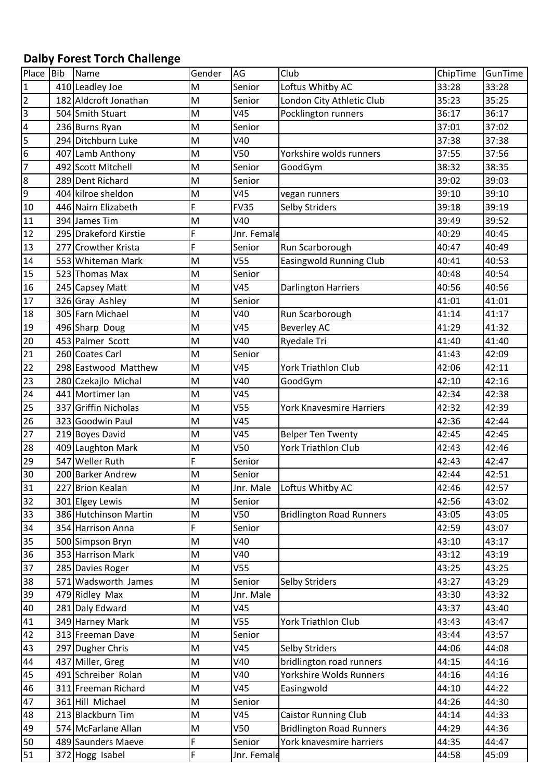## **Dalby Forest Torch Challenge**

| Place           | Bib | Name                  | Gender | AG              | Club                            | ChipTime | GunTime |
|-----------------|-----|-----------------------|--------|-----------------|---------------------------------|----------|---------|
| $\mathbf{1}$    |     | 410 Leadley Joe       | M      | Senior          | Loftus Whitby AC                | 33:28    | 33:28   |
| $\overline{2}$  |     | 182 Aldcroft Jonathan | M      | Senior          | London City Athletic Club       | 35:23    | 35:25   |
| $\overline{3}$  |     | 504 Smith Stuart      | M      | V45             | Pocklington runners             | 36:17    | 36:17   |
| $\overline{a}$  |     | 236 Burns Ryan        | M      | Senior          |                                 | 37:01    | 37:02   |
| 5               |     | 294 Ditchburn Luke    | M      | V40             |                                 | 37:38    | 37:38   |
| $6\overline{6}$ |     | 407 Lamb Anthony      | M      | V50             | Yorkshire wolds runners         | 37:55    | 37:56   |
| $\overline{7}$  |     | 492 Scott Mitchell    | M      | Senior          | GoodGym                         | 38:32    | 38:35   |
| $\overline{8}$  |     | 289 Dent Richard      | M      | Senior          |                                 | 39:02    | 39:03   |
| $\overline{9}$  |     | 404 kilroe sheldon    | M      | V45             | vegan runners                   | 39:10    | 39:10   |
| 10              |     | 446 Nairn Elizabeth   | F      | <b>FV35</b>     | <b>Selby Striders</b>           | 39:18    | 39:19   |
| 11              |     | 394 James Tim         | M      | V40             |                                 | 39:49    | 39:52   |
| 12              |     | 295 Drakeford Kirstie | F      | Jnr. Female     |                                 | 40:29    | 40:45   |
| 13              |     | 277 Crowther Krista   | F      | Senior          | Run Scarborough                 | 40:47    | 40:49   |
| 14              |     | 553 Whiteman Mark     | M      | V <sub>55</sub> | <b>Easingwold Running Club</b>  | 40:41    | 40:53   |
| 15              |     | 523 Thomas Max        | M      | Senior          |                                 | 40:48    | 40:54   |
| 16              |     | 245 Capsey Matt       | M      | V45             | <b>Darlington Harriers</b>      | 40:56    | 40:56   |
| 17              |     | 326 Gray Ashley       | M      | Senior          |                                 | 41:01    | 41:01   |
| 18              |     | 305 Farn Michael      | M      | V40             | Run Scarborough                 | 41:14    | 41:17   |
| 19              |     | 496 Sharp Doug        | M      | V45             | <b>Beverley AC</b>              | 41:29    | 41:32   |
| 20              |     | 453 Palmer Scott      | M      | V40             | Ryedale Tri                     | 41:40    | 41:40   |
| 21              |     | 260 Coates Carl       | M      | Senior          |                                 | 41:43    | 42:09   |
| 22              |     | 298 Eastwood Matthew  | M      | V45             | <b>York Triathlon Club</b>      | 42:06    | 42:11   |
| 23              |     | 280 Czekajlo Michal   | M      | V40             | GoodGym                         | 42:10    | 42:16   |
| 24              |     | 441 Mortimer Ian      | M      | V45             |                                 | 42:34    | 42:38   |
| 25              |     | 337 Griffin Nicholas  | M      | V <sub>55</sub> | <b>York Knavesmire Harriers</b> | 42:32    | 42:39   |
| 26              |     | 323 Goodwin Paul      | M      | V45             |                                 | 42:36    | 42:44   |
| 27              |     | 219 Boyes David       | M      | V45             | <b>Belper Ten Twenty</b>        | 42:45    | 42:45   |
| 28              |     | 409 Laughton Mark     | M      | V50             | <b>York Triathlon Club</b>      | 42:43    | 42:46   |
| 29              |     | 547 Weller Ruth       | F      | Senior          |                                 | 42:43    | 42:47   |
| 30              |     | 200 Barker Andrew     | M      | Senior          |                                 | 42:44    | 42:51   |
| 31              |     | 227 Brion Kealan      | M      | Jnr. Male       | Loftus Whitby AC                | 42:46    | 42:57   |
| 32              |     | 301 Elgey Lewis       | M      | Senior          |                                 | 42:56    | 43:02   |
| 33              |     | 386 Hutchinson Martin | M      | V50             | <b>Bridlington Road Runners</b> | 43:05    | 43:05   |
| 34              |     | 354 Harrison Anna     | F      | Senior          |                                 | 42:59    | 43:07   |
| 35              |     | 500 Simpson Bryn      | M      | V40             |                                 | 43:10    | 43:17   |
| 36              |     | 353 Harrison Mark     | M      | V40             |                                 | 43:12    | 43:19   |
| 37              |     | 285 Davies Roger      | M      | V <sub>55</sub> |                                 | 43:25    | 43:25   |
| 38              |     | 571 Wadsworth James   | M      | Senior          | <b>Selby Striders</b>           | 43:27    | 43:29   |
| 39              |     | 479 Ridley Max        | M      | Jnr. Male       |                                 | 43:30    | 43:32   |
| 40              |     | 281 Daly Edward       | M      | V45             |                                 | 43:37    | 43:40   |
| 41              |     | 349 Harney Mark       | M      | V55             | <b>York Triathlon Club</b>      | 43:43    | 43:47   |
| 42              |     | 313 Freeman Dave      | M      | Senior          |                                 | 43:44    | 43:57   |
| 43              |     | 297 Dugher Chris      | M      | V45             | <b>Selby Striders</b>           | 44:06    | 44:08   |
| 44              |     | 437 Miller, Greg      | M      | V40             | bridlington road runners        | 44:15    | 44:16   |
| 45              |     | 491 Schreiber Rolan   | M      | V40             | Yorkshire Wolds Runners         | 44:16    | 44:16   |
| 46              |     | 311 Freeman Richard   | M      | V45             | Easingwold                      | 44:10    | 44:22   |
| 47              |     | 361 Hill Michael      | M      | Senior          |                                 | 44:26    | 44:30   |
| 48              |     | 213 Blackburn Tim     | M      | V45             | <b>Caistor Running Club</b>     | 44:14    | 44:33   |
| 49              |     | 574 McFarlane Allan   | M      | V50             | <b>Bridlington Road Runners</b> | 44:29    | 44:36   |
| 50              |     | 489 Saunders Maeve    | F      | Senior          | York knavesmire harriers        | 44:35    | 44:47   |
| 51              |     | 372 Hogg Isabel       | F      | Jnr. Female     |                                 | 44:58    | 45:09   |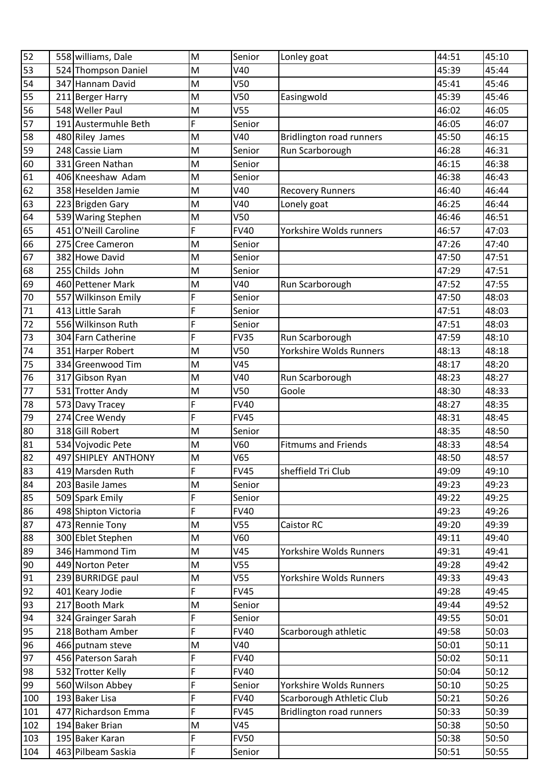| 52  |     | 558 williams, Dale   | M | Senior          | Lonley goat                     | 44:51 | 45:10 |
|-----|-----|----------------------|---|-----------------|---------------------------------|-------|-------|
| 53  |     | 524 Thompson Daniel  | M | V40             |                                 | 45:39 | 45:44 |
| 54  |     | 347 Hannam David     | M | V50             |                                 | 45:41 | 45:46 |
| 55  |     | 211 Berger Harry     | M | V <sub>50</sub> | Easingwold                      | 45:39 | 45:46 |
| 56  |     | 548 Weller Paul      | M | V <sub>55</sub> |                                 | 46:02 | 46:05 |
| 57  |     | 191 Austermuhle Beth | F | Senior          |                                 | 46:05 | 46:07 |
| 58  |     | 480 Riley James      | M | V40             | <b>Bridlington road runners</b> | 45:50 | 46:15 |
| 59  |     | 248 Cassie Liam      | M | Senior          | Run Scarborough                 | 46:28 | 46:31 |
| 60  |     | 331 Green Nathan     | M | Senior          |                                 | 46:15 | 46:38 |
| 61  |     | 406 Kneeshaw Adam    | M | Senior          |                                 | 46:38 | 46:43 |
| 62  |     | 358 Heselden Jamie   | M | V40             | <b>Recovery Runners</b>         | 46:40 | 46:44 |
| 63  |     | 223 Brigden Gary     | M | V40             | Lonely goat                     | 46:25 | 46:44 |
| 64  |     | 539 Waring Stephen   | M | V50             |                                 | 46:46 | 46:51 |
| 65  |     | 451 O'Neill Caroline | F | <b>FV40</b>     | Yorkshire Wolds runners         | 46:57 | 47:03 |
| 66  |     | 275 Cree Cameron     | M | Senior          |                                 | 47:26 | 47:40 |
| 67  |     | 382 Howe David       | M | Senior          |                                 | 47:50 | 47:51 |
| 68  |     | 255 Childs John      | M | Senior          |                                 | 47:29 | 47:51 |
| 69  |     | 460 Pettener Mark    | M | V40             | Run Scarborough                 | 47:52 | 47:55 |
| 70  |     | 557 Wilkinson Emily  | F | Senior          |                                 | 47:50 | 48:03 |
| 71  |     | 413 Little Sarah     | F | Senior          |                                 | 47:51 | 48:03 |
| 72  |     | 556 Wilkinson Ruth   | F | Senior          |                                 | 47:51 | 48:03 |
| 73  |     | 304 Farn Catherine   | F | <b>FV35</b>     | Run Scarborough                 | 47:59 | 48:10 |
| 74  |     | 351 Harper Robert    | M | V <sub>50</sub> | Yorkshire Wolds Runners         | 48:13 | 48:18 |
| 75  |     | 334 Greenwood Tim    | M | V45             |                                 | 48:17 | 48:20 |
| 76  |     | 317 Gibson Ryan      | M | V40             | Run Scarborough                 | 48:23 | 48:27 |
| 77  |     | 531 Trotter Andy     | M | V <sub>50</sub> | Goole                           | 48:30 | 48:33 |
| 78  |     | 573 Davy Tracey      | F | <b>FV40</b>     |                                 | 48:27 | 48:35 |
| 79  |     | 274 Cree Wendy       | F | <b>FV45</b>     |                                 | 48:31 | 48:45 |
| 80  |     | 318 Gill Robert      | M | Senior          |                                 | 48:35 | 48:50 |
| 81  |     | 534 Vojvodic Pete    | M | V60             | <b>Fitmums and Friends</b>      | 48:33 | 48:54 |
| 82  |     | 497 SHIPLEY ANTHONY  | M | V65             |                                 | 48:50 | 48:57 |
| 83  |     | 419 Marsden Ruth     | F | <b>FV45</b>     | sheffield Tri Club              | 49:09 | 49:10 |
| 84  |     | 203 Basile James     | M | Senior          |                                 | 49:23 | 49:23 |
| 85  |     | 509 Spark Emily      | F | Senior          |                                 | 49:22 | 49:25 |
| 86  |     | 498 Shipton Victoria | F | <b>FV40</b>     |                                 | 49:23 | 49:26 |
| 87  |     | 473 Rennie Tony      | M | V <sub>55</sub> | <b>Caistor RC</b>               | 49:20 | 49:39 |
| 88  |     | 300 Eblet Stephen    | M | V60             |                                 | 49:11 | 49:40 |
| 89  |     | 346 Hammond Tim      | M | V45             | Yorkshire Wolds Runners         | 49:31 | 49:41 |
| 90  |     | 449 Norton Peter     | M | V <sub>55</sub> |                                 | 49:28 | 49:42 |
| 91  |     | 239 BURRIDGE paul    | M | V <sub>55</sub> | Yorkshire Wolds Runners         | 49:33 | 49:43 |
| 92  |     | 401 Keary Jodie      | F | <b>FV45</b>     |                                 | 49:28 | 49:45 |
| 93  |     | 217 Booth Mark       | M | Senior          |                                 | 49:44 | 49:52 |
| 94  |     | 324 Grainger Sarah   | F | Senior          |                                 | 49:55 | 50:01 |
| 95  |     | 218 Botham Amber     | F | <b>FV40</b>     | Scarborough athletic            | 49:58 | 50:03 |
| 96  |     | 466 putnam steve     | M | V40             |                                 | 50:01 | 50:11 |
| 97  |     | 456 Paterson Sarah   | F | <b>FV40</b>     |                                 | 50:02 | 50:11 |
| 98  |     | 532 Trotter Kelly    | F | <b>FV40</b>     |                                 | 50:04 | 50:12 |
| 99  |     | 560 Wilson Abbey     | F | Senior          | Yorkshire Wolds Runners         | 50:10 | 50:25 |
| 100 |     | 193 Baker Lisa       | F | <b>FV40</b>     | Scarborough Athletic Club       | 50:21 | 50:26 |
| 101 | 477 | Richardson Emma      | F | <b>FV45</b>     | <b>Bridlington road runners</b> | 50:33 | 50:39 |
| 102 |     | 194 Baker Brian      | M | V45             |                                 | 50:38 | 50:50 |
| 103 |     | 195 Baker Karan      | F | <b>FV50</b>     |                                 | 50:38 | 50:50 |
| 104 |     | 463 Pilbeam Saskia   | F | Senior          |                                 | 50:51 | 50:55 |
|     |     |                      |   |                 |                                 |       |       |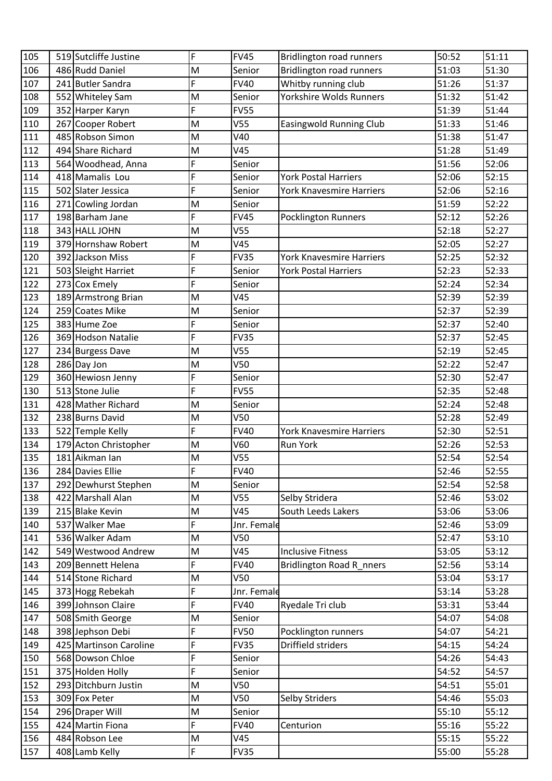| 105 |     | 519 Sutcliffe Justine  | F | <b>FV45</b>     | <b>Bridlington road runners</b> | 50:52 | 51:11 |
|-----|-----|------------------------|---|-----------------|---------------------------------|-------|-------|
| 106 |     | 486 Rudd Daniel        | M | Senior          | <b>Bridlington road runners</b> | 51:03 | 51:30 |
| 107 |     | 241 Butler Sandra      | F | <b>FV40</b>     | Whitby running club             | 51:26 | 51:37 |
| 108 |     | 552 Whiteley Sam       | M | Senior          | Yorkshire Wolds Runners         | 51:32 | 51:42 |
| 109 |     | 352 Harper Karyn       | F | <b>FV55</b>     |                                 | 51:39 | 51:44 |
| 110 | 267 | Cooper Robert          | M | V <sub>55</sub> | <b>Easingwold Running Club</b>  | 51:33 | 51:46 |
| 111 |     | 485 Robson Simon       | M | V40             |                                 | 51:38 | 51:47 |
| 112 |     | 494 Share Richard      | M | V45             |                                 | 51:28 | 51:49 |
| 113 |     | 564 Woodhead, Anna     | F | Senior          |                                 | 51:56 | 52:06 |
| 114 |     | 418 Mamalis Lou        | F | Senior          | <b>York Postal Harriers</b>     | 52:06 | 52:15 |
| 115 |     | 502 Slater Jessica     | F | Senior          | York Knavesmire Harriers        | 52:06 | 52:16 |
| 116 |     | 271 Cowling Jordan     | M | Senior          |                                 | 51:59 | 52:22 |
| 117 |     | 198 Barham Jane        | F | <b>FV45</b>     | Pocklington Runners             | 52:12 | 52:26 |
| 118 |     | 343 HALL JOHN          | M | V <sub>55</sub> |                                 | 52:18 | 52:27 |
| 119 |     | 379 Hornshaw Robert    | M | V45             |                                 | 52:05 | 52:27 |
| 120 |     | 392 Jackson Miss       | F | <b>FV35</b>     | York Knavesmire Harriers        | 52:25 | 52:32 |
| 121 |     | 503 Sleight Harriet    | F | Senior          | <b>York Postal Harriers</b>     | 52:23 | 52:33 |
| 122 |     | 273 Cox Emely          | F | Senior          |                                 | 52:24 | 52:34 |
| 123 |     | 189 Armstrong Brian    | M | V45             |                                 | 52:39 | 52:39 |
| 124 |     | 259 Coates Mike        | M | Senior          |                                 | 52:37 | 52:39 |
| 125 |     | 383 Hume Zoe           | F | Senior          |                                 | 52:37 | 52:40 |
| 126 |     | 369 Hodson Natalie     | F | <b>FV35</b>     |                                 | 52:37 | 52:45 |
| 127 |     | 234 Burgess Dave       | M | V <sub>55</sub> |                                 | 52:19 | 52:45 |
| 128 |     | 286 Day Jon            | M | V50             |                                 | 52:22 | 52:47 |
| 129 |     | 360 Hewiosn Jenny      | F | Senior          |                                 | 52:30 | 52:47 |
| 130 |     | 513 Stone Julie        | F | <b>FV55</b>     |                                 | 52:35 | 52:48 |
| 131 |     | 428 Mather Richard     | M | Senior          |                                 | 52:24 | 52:48 |
| 132 |     | 238 Burns David        | M | V50             |                                 | 52:28 | 52:49 |
| 133 |     | 522 Temple Kelly       | F | <b>FV40</b>     | <b>York Knavesmire Harriers</b> | 52:30 | 52:51 |
| 134 |     | 179 Acton Christopher  | M | V60             | <b>Run York</b>                 | 52:26 | 52:53 |
| 135 |     | 181 Aikman Ian         | M | V <sub>55</sub> |                                 | 52:54 | 52:54 |
| 136 |     | 284 Davies Ellie       | F | <b>FV40</b>     |                                 | 52:46 | 52:55 |
| 137 |     | 292 Dewhurst Stephen   | M | Senior          |                                 | 52:54 | 52:58 |
| 138 |     | 422 Marshall Alan      | M | V <sub>55</sub> | Selby Stridera                  | 52:46 | 53:02 |
| 139 |     | 215 Blake Kevin        | M | V45             | South Leeds Lakers              | 53:06 | 53:06 |
| 140 | 537 | <b>Walker Mae</b>      | F | Jnr. Female     |                                 | 52:46 | 53:09 |
| 141 |     | 536 Walker Adam        | M | V <sub>50</sub> |                                 | 52:47 | 53:10 |
| 142 |     | 549 Westwood Andrew    | M | V45             | <b>Inclusive Fitness</b>        | 53:05 | 53:12 |
| 143 |     | 209 Bennett Helena     | F | <b>FV40</b>     | Bridlington Road R_nners        | 52:56 | 53:14 |
| 144 |     | 514 Stone Richard      | M | V50             |                                 | 53:04 | 53:17 |
| 145 |     | 373 Hogg Rebekah       | F | Jnr. Female     |                                 | 53:14 | 53:28 |
| 146 |     | 399 Johnson Claire     | F | <b>FV40</b>     | Ryedale Tri club                | 53:31 | 53:44 |
| 147 |     | 508 Smith George       | M | Senior          |                                 | 54:07 | 54:08 |
| 148 |     | 398 Jephson Debi       | F | <b>FV50</b>     | Pocklington runners             | 54:07 | 54:21 |
| 149 |     | 425 Martinson Caroline | F | <b>FV35</b>     | Driffield striders              | 54:15 | 54:24 |
| 150 |     | 568 Dowson Chloe       | F | Senior          |                                 | 54:26 | 54:43 |
| 151 |     | 375 Holden Holly       | F | Senior          |                                 | 54:52 | 54:57 |
| 152 |     | 293 Ditchburn Justin   | M | V50             |                                 | 54:51 | 55:01 |
| 153 |     | 309 Fox Peter          | M | V50             | Selby Striders                  | 54:46 | 55:03 |
| 154 |     | 296 Draper Will        | M | Senior          |                                 | 55:10 | 55:12 |
| 155 |     | 424 Martin Fiona       | F | <b>FV40</b>     | Centurion                       | 55:16 | 55:22 |
| 156 |     | 484 Robson Lee         | M | V45             |                                 | 55:15 | 55:22 |
| 157 |     | 408 Lamb Kelly         | F | <b>FV35</b>     |                                 | 55:00 | 55:28 |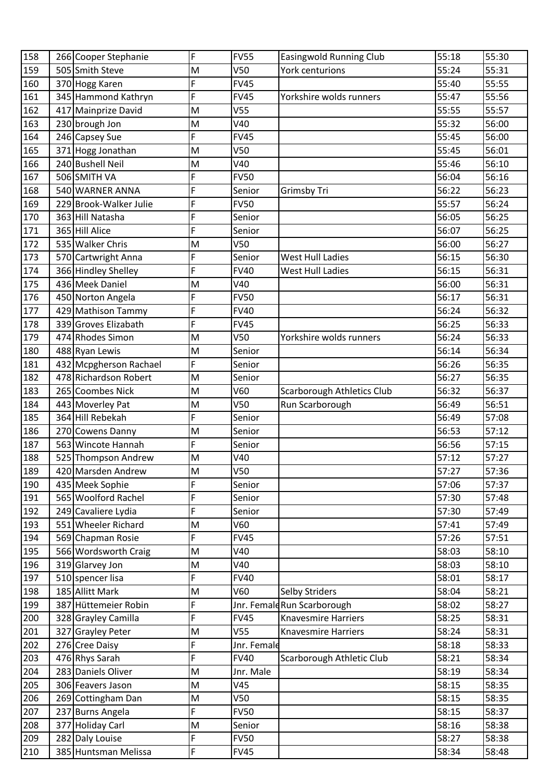| 158 |     | 266 Cooper Stephanie   | F | <b>FV55</b>     | <b>Easingwold Running Club</b> | 55:18 | 55:30 |
|-----|-----|------------------------|---|-----------------|--------------------------------|-------|-------|
| 159 |     | 505 Smith Steve        | M | V <sub>50</sub> | <b>York centurions</b>         | 55:24 | 55:31 |
| 160 |     | 370 Hogg Karen         | F | <b>FV45</b>     |                                | 55:40 | 55:55 |
| 161 |     | 345 Hammond Kathryn    | F | <b>FV45</b>     | Yorkshire wolds runners        | 55:47 | 55:56 |
| 162 |     | 417 Mainprize David    | M | V <sub>55</sub> |                                | 55:55 | 55:57 |
| 163 |     | 230 brough Jon         | M | V40             |                                | 55:32 | 56:00 |
| 164 |     | 246 Capsey Sue         | F | <b>FV45</b>     |                                | 55:45 | 56:00 |
| 165 |     | 371 Hogg Jonathan      | M | V <sub>50</sub> |                                | 55:45 | 56:01 |
| 166 |     | 240 Bushell Neil       | M | V40             |                                | 55:46 | 56:10 |
| 167 |     | 506 SMITH VA           | F | <b>FV50</b>     |                                | 56:04 | 56:16 |
| 168 |     | 540 WARNER ANNA        | F | Senior          | Grimsby Tri                    | 56:22 | 56:23 |
| 169 |     | 229 Brook-Walker Julie | F | <b>FV50</b>     |                                | 55:57 | 56:24 |
| 170 |     | 363 Hill Natasha       | F | Senior          |                                | 56:05 | 56:25 |
| 171 |     | 365 Hill Alice         | F | Senior          |                                | 56:07 | 56:25 |
| 172 |     | 535 Walker Chris       | M | V <sub>50</sub> |                                | 56:00 | 56:27 |
| 173 |     | 570 Cartwright Anna    | F | Senior          | <b>West Hull Ladies</b>        | 56:15 | 56:30 |
| 174 |     | 366 Hindley Shelley    | F | <b>FV40</b>     | <b>West Hull Ladies</b>        | 56:15 | 56:31 |
| 175 |     | 436 Meek Daniel        | M | V40             |                                | 56:00 | 56:31 |
| 176 |     | 450 Norton Angela      | F | <b>FV50</b>     |                                | 56:17 | 56:31 |
| 177 |     | 429 Mathison Tammy     | F | <b>FV40</b>     |                                | 56:24 | 56:32 |
| 178 |     | 339 Groves Elizabath   | F | <b>FV45</b>     |                                | 56:25 | 56:33 |
| 179 |     | 474 Rhodes Simon       | M | V <sub>50</sub> | Yorkshire wolds runners        | 56:24 | 56:33 |
| 180 |     | 488 Ryan Lewis         | M | Senior          |                                | 56:14 | 56:34 |
| 181 |     | 432 Mcpgherson Rachael | F | Senior          |                                | 56:26 | 56:35 |
| 182 |     | 478 Richardson Robert  | M | Senior          |                                | 56:27 | 56:35 |
| 183 |     | 265 Coombes Nick       | M | V60             | Scarborough Athletics Club     | 56:32 | 56:37 |
| 184 |     | 443 Moverley Pat       | M | V <sub>50</sub> | Run Scarborough                | 56:49 | 56:51 |
| 185 |     | 364 Hill Rebekah       | F | Senior          |                                | 56:49 | 57:08 |
| 186 |     | 270 Cowens Danny       | M | Senior          |                                | 56:53 | 57:12 |
| 187 |     | 563 Wincote Hannah     | F | Senior          |                                | 56:56 | 57:15 |
| 188 |     | 525 Thompson Andrew    | M | V40             |                                | 57:12 | 57:27 |
| 189 |     | 420 Marsden Andrew     | M | V <sub>50</sub> |                                | 57:27 | 57:36 |
| 190 |     | 435 Meek Sophie        | F | Senior          |                                | 57:06 | 57:37 |
| 191 |     | 565 Woolford Rachel    | F | Senior          |                                | 57:30 | 57:48 |
| 192 |     | 249 Cavaliere Lydia    | F | Senior          |                                | 57:30 | 57:49 |
| 193 |     | 551 Wheeler Richard    | M | V60             |                                | 57:41 | 57:49 |
| 194 |     | 569 Chapman Rosie      | F | <b>FV45</b>     |                                | 57:26 | 57:51 |
| 195 |     | 566 Wordsworth Craig   | M | V40             |                                | 58:03 | 58:10 |
| 196 |     | 319 Glarvey Jon        | M | V40             |                                | 58:03 | 58:10 |
| 197 |     | 510 spencer lisa       | F | <b>FV40</b>     |                                | 58:01 | 58:17 |
| 198 |     | 185 Allitt Mark        | M | V60             | <b>Selby Striders</b>          | 58:04 | 58:21 |
| 199 |     | 387 Hüttemeier Robin   | F |                 | Jnr. FemaldRun Scarborough     | 58:02 | 58:27 |
| 200 |     | 328 Grayley Camilla    | F | <b>FV45</b>     | <b>Knavesmire Harriers</b>     | 58:25 | 58:31 |
| 201 |     | 327 Grayley Peter      | M | V55             | <b>Knavesmire Harriers</b>     | 58:24 | 58:31 |
| 202 |     | 276 Cree Daisy         | F | Jnr. Female     |                                | 58:18 | 58:33 |
| 203 |     | 476 Rhys Sarah         | F | <b>FV40</b>     | Scarborough Athletic Club      | 58:21 | 58:34 |
| 204 |     | 283 Daniels Oliver     | M | Jnr. Male       |                                | 58:19 | 58:34 |
| 205 |     | 306 Feavers Jason      | M | V45             |                                | 58:15 | 58:35 |
| 206 |     | 269 Cottingham Dan     | M | V <sub>50</sub> |                                | 58:15 | 58:35 |
| 207 |     | 237 Burns Angela       | F | <b>FV50</b>     |                                | 58:15 | 58:37 |
| 208 | 377 | Holiday Carl           | M | Senior          |                                | 58:16 | 58:38 |
| 209 |     | 282 Daly Louise        | F | <b>FV50</b>     |                                | 58:27 | 58:38 |
| 210 |     | 385 Huntsman Melissa   | F | <b>FV45</b>     |                                | 58:34 | 58:48 |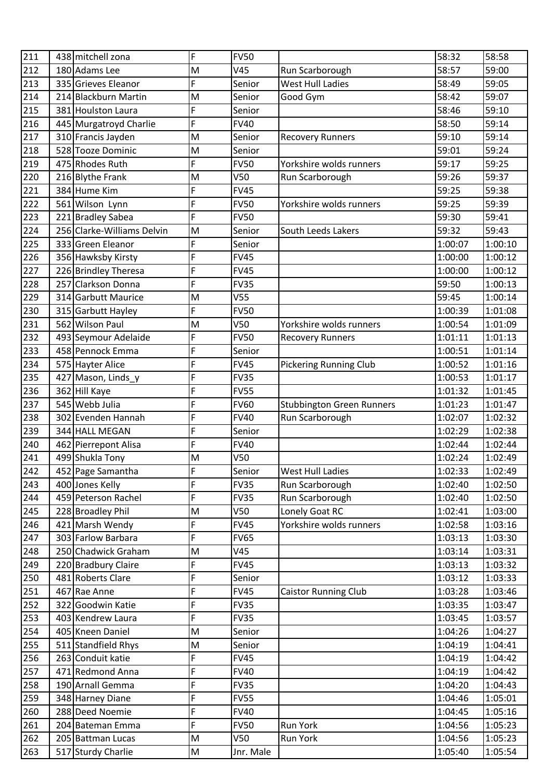| 212<br>59:00<br>180 Adams Lee<br>58:57<br>M<br>V45<br>Run Scarborough<br>F<br>213<br>335 Grieves Eleanor<br>59:05<br><b>West Hull Ladies</b><br>58:49<br>Senior<br>58:42<br>59:07<br>214<br>214 Blackburn Martin<br>Senior<br>M<br>Good Gym<br>F<br>215<br>381 Houlston Laura<br>58:46<br>59:10<br>Senior<br>F<br>216<br>445 Murgatroyd Charlie<br><b>FV40</b><br>58:50<br>59:14<br>59:14<br>217<br>59:10<br>M<br>310 Francis Jayden<br>Senior<br><b>Recovery Runners</b><br>218<br>528 Tooze Dominic<br>59:24<br>59:01<br>M<br>Senior<br>59:25<br>219<br>475 Rhodes Ruth<br>F<br><b>FV50</b><br>59:17<br>Yorkshire wolds runners<br>220<br>M<br>V <sub>50</sub><br>59:26<br>59:37<br>216 Blythe Frank<br>Run Scarborough<br>384 Hume Kim<br>F<br>221<br><b>FV45</b><br>59:25<br>59:38<br>F<br>222<br>59:25<br>59:39<br><b>FV50</b><br>561 Wilson Lynn<br>Yorkshire wolds runners<br>F<br>223<br>59:41<br>221 Bradley Sabea<br><b>FV50</b><br>59:30<br>224<br>256 Clarke-Williams Delvin<br>59:32<br>59:43<br>M<br>Senior<br>South Leeds Lakers<br>F<br>225<br>333 Green Eleanor<br>1:00:10<br>Senior<br>1:00:07<br>F<br>226<br>356 Hawksby Kirsty<br><b>FV45</b><br>1:00:12<br>1:00:00<br>F<br>227<br>226 Brindley Theresa<br><b>FV45</b><br>1:00:12<br>1:00:00<br>F<br>228<br>257 Clarkson Donna<br><b>FV35</b><br>1:00:13<br>59:50<br>229<br>314 Garbutt Maurice<br>V <sub>55</sub><br>59:45<br>1:00:14<br>M<br>F<br>230<br><b>FV50</b><br>1:01:08<br>315 Garbutt Hayley<br>1:00:39<br>562 Wilson Paul<br>231<br>M<br>V50<br>Yorkshire wolds runners<br>1:00:54<br>1:01:09<br>F<br>232<br><b>FV50</b><br>1:01:13<br>493 Seymour Adelaide<br>1:01:11<br><b>Recovery Runners</b><br>F<br>233<br>458 Pennock Emma<br>1:01:14<br>Senior<br>1:00:51<br>234<br>F<br><b>FV45</b><br>575 Hayter Alice<br><b>Pickering Running Club</b><br>1:00:52<br>1:01:16<br>F<br>235<br>1:01:17<br>427 Mason, Linds y<br><b>FV35</b><br>1:00:53<br>F<br>236<br>362 Hill Kaye<br><b>FV55</b><br>1:01:32<br>1:01:45<br>F<br>237<br>545 Webb Julia<br><b>FV60</b><br><b>Stubbington Green Runners</b><br>1:01:23<br>1:01:47<br>F<br>238<br>302 Evenden Hannah<br>Run Scarborough<br>1:02:32<br><b>FV40</b><br>1:02:07<br>344 HALL MEGAN<br>F<br>Senior<br>1:02:38<br>239<br>1:02:29<br>F<br><b>FV40</b><br>1:02:44<br>240<br>462 Pierrepont Alisa<br>1:02:44<br>499 Shukla Tony<br>V <sub>50</sub><br>241<br>M<br>1:02:24<br>1:02:49<br>1:02:33<br>1:02:49<br>242<br>452 Page Samantha<br>F<br>Senior<br><b>West Hull Ladies</b><br>F<br>400 Jones Kelly<br>1:02:40<br>1:02:50<br>243<br><b>FV35</b><br>Run Scarborough<br>F<br>244<br>459 Peterson Rachel<br><b>FV35</b><br>Run Scarborough<br>1:02:40<br>1:02:50<br>M<br>245<br>228 Broadley Phil<br>V50<br>Lonely Goat RC<br>1:03:00<br>1:02:41<br>F<br>246<br>421 Marsh Wendy<br>Yorkshire wolds runners<br><b>FV45</b><br>1:02:58<br>1:03:16<br>F<br>247<br>303 Farlow Barbara<br><b>FV65</b><br>1:03:13<br>1:03:30<br>248<br>250 Chadwick Graham<br>V45<br>1:03:14<br>M<br>1:03:31<br>F<br>249<br>220 Bradbury Claire<br><b>FV45</b><br>1:03:13<br>1:03:32<br>F<br>481 Roberts Clare<br>250<br>1:03:12<br>1:03:33<br>Senior<br>F<br>467 Rae Anne<br>251<br><b>FV45</b><br>1:03:28<br>1:03:46<br><b>Caistor Running Club</b><br>F<br>252<br><b>FV35</b><br>1:03:35<br>322<br>Goodwin Katie<br>1:03:47<br>F<br>253<br>403 Kendrew Laura<br><b>FV35</b><br>1:03:45<br>1:03:57<br>254<br>405 Kneen Daniel<br>M<br>Senior<br>1:04:26<br>1:04:27<br>255<br>511 Standfield Rhys<br>M<br>Senior<br>1:04:19<br>1:04:41<br>F<br>263 Conduit katie<br>256<br><b>FV45</b><br>1:04:19<br>1:04:42<br>F<br>257<br>471 Redmond Anna<br><b>FV40</b><br>1:04:19<br>1:04:42<br>F<br>190 Arnall Gemma<br>258<br><b>FV35</b><br>1:04:20<br>1:04:43<br>F<br>259<br>348 Harney Diane<br><b>FV55</b><br>1:04:46<br>1:05:01<br>F<br>288 Deed Noemie<br>260<br><b>FV40</b><br>1:04:45<br>1:05:16<br>F<br>261<br>204 Bateman Emma<br><b>FV50</b><br><b>Run York</b><br>1:05:23<br>1:04:56<br>262<br>V50<br>1:04:56<br>1:05:23<br>205 Battman Lucas<br>M<br>Run York<br>263<br>517 Sturdy Charlie<br>M<br>1:05:40<br>Jnr. Male<br>1:05:54 | 211 | 438 mitchell zona | F | <b>FV50</b> | 58:32 | 58:58 |
|-------------------------------------------------------------------------------------------------------------------------------------------------------------------------------------------------------------------------------------------------------------------------------------------------------------------------------------------------------------------------------------------------------------------------------------------------------------------------------------------------------------------------------------------------------------------------------------------------------------------------------------------------------------------------------------------------------------------------------------------------------------------------------------------------------------------------------------------------------------------------------------------------------------------------------------------------------------------------------------------------------------------------------------------------------------------------------------------------------------------------------------------------------------------------------------------------------------------------------------------------------------------------------------------------------------------------------------------------------------------------------------------------------------------------------------------------------------------------------------------------------------------------------------------------------------------------------------------------------------------------------------------------------------------------------------------------------------------------------------------------------------------------------------------------------------------------------------------------------------------------------------------------------------------------------------------------------------------------------------------------------------------------------------------------------------------------------------------------------------------------------------------------------------------------------------------------------------------------------------------------------------------------------------------------------------------------------------------------------------------------------------------------------------------------------------------------------------------------------------------------------------------------------------------------------------------------------------------------------------------------------------------------------------------------------------------------------------------------------------------------------------------------------------------------------------------------------------------------------------------------------------------------------------------------------------------------------------------------------------------------------------------------------------------------------------------------------------------------------------------------------------------------------------------------------------------------------------------------------------------------------------------------------------------------------------------------------------------------------------------------------------------------------------------------------------------------------------------------------------------------------------------------------------------------------------------------------------------------------------------------------------------------------------------------------------------------------------------------------------------------------------------------------------------------------------------------------------------------------------------------------------------------------------------------------------------------------------------------------------------------------------------------------------------------------------------------------------------------------------------------------------------------|-----|-------------------|---|-------------|-------|-------|
|                                                                                                                                                                                                                                                                                                                                                                                                                                                                                                                                                                                                                                                                                                                                                                                                                                                                                                                                                                                                                                                                                                                                                                                                                                                                                                                                                                                                                                                                                                                                                                                                                                                                                                                                                                                                                                                                                                                                                                                                                                                                                                                                                                                                                                                                                                                                                                                                                                                                                                                                                                                                                                                                                                                                                                                                                                                                                                                                                                                                                                                                                                                                                                                                                                                                                                                                                                                                                                                                                                                                                                                                                                                                                                                                                                                                                                                                                                                                                                                                                                                                                                                                                 |     |                   |   |             |       |       |
|                                                                                                                                                                                                                                                                                                                                                                                                                                                                                                                                                                                                                                                                                                                                                                                                                                                                                                                                                                                                                                                                                                                                                                                                                                                                                                                                                                                                                                                                                                                                                                                                                                                                                                                                                                                                                                                                                                                                                                                                                                                                                                                                                                                                                                                                                                                                                                                                                                                                                                                                                                                                                                                                                                                                                                                                                                                                                                                                                                                                                                                                                                                                                                                                                                                                                                                                                                                                                                                                                                                                                                                                                                                                                                                                                                                                                                                                                                                                                                                                                                                                                                                                                 |     |                   |   |             |       |       |
|                                                                                                                                                                                                                                                                                                                                                                                                                                                                                                                                                                                                                                                                                                                                                                                                                                                                                                                                                                                                                                                                                                                                                                                                                                                                                                                                                                                                                                                                                                                                                                                                                                                                                                                                                                                                                                                                                                                                                                                                                                                                                                                                                                                                                                                                                                                                                                                                                                                                                                                                                                                                                                                                                                                                                                                                                                                                                                                                                                                                                                                                                                                                                                                                                                                                                                                                                                                                                                                                                                                                                                                                                                                                                                                                                                                                                                                                                                                                                                                                                                                                                                                                                 |     |                   |   |             |       |       |
|                                                                                                                                                                                                                                                                                                                                                                                                                                                                                                                                                                                                                                                                                                                                                                                                                                                                                                                                                                                                                                                                                                                                                                                                                                                                                                                                                                                                                                                                                                                                                                                                                                                                                                                                                                                                                                                                                                                                                                                                                                                                                                                                                                                                                                                                                                                                                                                                                                                                                                                                                                                                                                                                                                                                                                                                                                                                                                                                                                                                                                                                                                                                                                                                                                                                                                                                                                                                                                                                                                                                                                                                                                                                                                                                                                                                                                                                                                                                                                                                                                                                                                                                                 |     |                   |   |             |       |       |
|                                                                                                                                                                                                                                                                                                                                                                                                                                                                                                                                                                                                                                                                                                                                                                                                                                                                                                                                                                                                                                                                                                                                                                                                                                                                                                                                                                                                                                                                                                                                                                                                                                                                                                                                                                                                                                                                                                                                                                                                                                                                                                                                                                                                                                                                                                                                                                                                                                                                                                                                                                                                                                                                                                                                                                                                                                                                                                                                                                                                                                                                                                                                                                                                                                                                                                                                                                                                                                                                                                                                                                                                                                                                                                                                                                                                                                                                                                                                                                                                                                                                                                                                                 |     |                   |   |             |       |       |
|                                                                                                                                                                                                                                                                                                                                                                                                                                                                                                                                                                                                                                                                                                                                                                                                                                                                                                                                                                                                                                                                                                                                                                                                                                                                                                                                                                                                                                                                                                                                                                                                                                                                                                                                                                                                                                                                                                                                                                                                                                                                                                                                                                                                                                                                                                                                                                                                                                                                                                                                                                                                                                                                                                                                                                                                                                                                                                                                                                                                                                                                                                                                                                                                                                                                                                                                                                                                                                                                                                                                                                                                                                                                                                                                                                                                                                                                                                                                                                                                                                                                                                                                                 |     |                   |   |             |       |       |
|                                                                                                                                                                                                                                                                                                                                                                                                                                                                                                                                                                                                                                                                                                                                                                                                                                                                                                                                                                                                                                                                                                                                                                                                                                                                                                                                                                                                                                                                                                                                                                                                                                                                                                                                                                                                                                                                                                                                                                                                                                                                                                                                                                                                                                                                                                                                                                                                                                                                                                                                                                                                                                                                                                                                                                                                                                                                                                                                                                                                                                                                                                                                                                                                                                                                                                                                                                                                                                                                                                                                                                                                                                                                                                                                                                                                                                                                                                                                                                                                                                                                                                                                                 |     |                   |   |             |       |       |
|                                                                                                                                                                                                                                                                                                                                                                                                                                                                                                                                                                                                                                                                                                                                                                                                                                                                                                                                                                                                                                                                                                                                                                                                                                                                                                                                                                                                                                                                                                                                                                                                                                                                                                                                                                                                                                                                                                                                                                                                                                                                                                                                                                                                                                                                                                                                                                                                                                                                                                                                                                                                                                                                                                                                                                                                                                                                                                                                                                                                                                                                                                                                                                                                                                                                                                                                                                                                                                                                                                                                                                                                                                                                                                                                                                                                                                                                                                                                                                                                                                                                                                                                                 |     |                   |   |             |       |       |
|                                                                                                                                                                                                                                                                                                                                                                                                                                                                                                                                                                                                                                                                                                                                                                                                                                                                                                                                                                                                                                                                                                                                                                                                                                                                                                                                                                                                                                                                                                                                                                                                                                                                                                                                                                                                                                                                                                                                                                                                                                                                                                                                                                                                                                                                                                                                                                                                                                                                                                                                                                                                                                                                                                                                                                                                                                                                                                                                                                                                                                                                                                                                                                                                                                                                                                                                                                                                                                                                                                                                                                                                                                                                                                                                                                                                                                                                                                                                                                                                                                                                                                                                                 |     |                   |   |             |       |       |
|                                                                                                                                                                                                                                                                                                                                                                                                                                                                                                                                                                                                                                                                                                                                                                                                                                                                                                                                                                                                                                                                                                                                                                                                                                                                                                                                                                                                                                                                                                                                                                                                                                                                                                                                                                                                                                                                                                                                                                                                                                                                                                                                                                                                                                                                                                                                                                                                                                                                                                                                                                                                                                                                                                                                                                                                                                                                                                                                                                                                                                                                                                                                                                                                                                                                                                                                                                                                                                                                                                                                                                                                                                                                                                                                                                                                                                                                                                                                                                                                                                                                                                                                                 |     |                   |   |             |       |       |
|                                                                                                                                                                                                                                                                                                                                                                                                                                                                                                                                                                                                                                                                                                                                                                                                                                                                                                                                                                                                                                                                                                                                                                                                                                                                                                                                                                                                                                                                                                                                                                                                                                                                                                                                                                                                                                                                                                                                                                                                                                                                                                                                                                                                                                                                                                                                                                                                                                                                                                                                                                                                                                                                                                                                                                                                                                                                                                                                                                                                                                                                                                                                                                                                                                                                                                                                                                                                                                                                                                                                                                                                                                                                                                                                                                                                                                                                                                                                                                                                                                                                                                                                                 |     |                   |   |             |       |       |
|                                                                                                                                                                                                                                                                                                                                                                                                                                                                                                                                                                                                                                                                                                                                                                                                                                                                                                                                                                                                                                                                                                                                                                                                                                                                                                                                                                                                                                                                                                                                                                                                                                                                                                                                                                                                                                                                                                                                                                                                                                                                                                                                                                                                                                                                                                                                                                                                                                                                                                                                                                                                                                                                                                                                                                                                                                                                                                                                                                                                                                                                                                                                                                                                                                                                                                                                                                                                                                                                                                                                                                                                                                                                                                                                                                                                                                                                                                                                                                                                                                                                                                                                                 |     |                   |   |             |       |       |
|                                                                                                                                                                                                                                                                                                                                                                                                                                                                                                                                                                                                                                                                                                                                                                                                                                                                                                                                                                                                                                                                                                                                                                                                                                                                                                                                                                                                                                                                                                                                                                                                                                                                                                                                                                                                                                                                                                                                                                                                                                                                                                                                                                                                                                                                                                                                                                                                                                                                                                                                                                                                                                                                                                                                                                                                                                                                                                                                                                                                                                                                                                                                                                                                                                                                                                                                                                                                                                                                                                                                                                                                                                                                                                                                                                                                                                                                                                                                                                                                                                                                                                                                                 |     |                   |   |             |       |       |
|                                                                                                                                                                                                                                                                                                                                                                                                                                                                                                                                                                                                                                                                                                                                                                                                                                                                                                                                                                                                                                                                                                                                                                                                                                                                                                                                                                                                                                                                                                                                                                                                                                                                                                                                                                                                                                                                                                                                                                                                                                                                                                                                                                                                                                                                                                                                                                                                                                                                                                                                                                                                                                                                                                                                                                                                                                                                                                                                                                                                                                                                                                                                                                                                                                                                                                                                                                                                                                                                                                                                                                                                                                                                                                                                                                                                                                                                                                                                                                                                                                                                                                                                                 |     |                   |   |             |       |       |
|                                                                                                                                                                                                                                                                                                                                                                                                                                                                                                                                                                                                                                                                                                                                                                                                                                                                                                                                                                                                                                                                                                                                                                                                                                                                                                                                                                                                                                                                                                                                                                                                                                                                                                                                                                                                                                                                                                                                                                                                                                                                                                                                                                                                                                                                                                                                                                                                                                                                                                                                                                                                                                                                                                                                                                                                                                                                                                                                                                                                                                                                                                                                                                                                                                                                                                                                                                                                                                                                                                                                                                                                                                                                                                                                                                                                                                                                                                                                                                                                                                                                                                                                                 |     |                   |   |             |       |       |
|                                                                                                                                                                                                                                                                                                                                                                                                                                                                                                                                                                                                                                                                                                                                                                                                                                                                                                                                                                                                                                                                                                                                                                                                                                                                                                                                                                                                                                                                                                                                                                                                                                                                                                                                                                                                                                                                                                                                                                                                                                                                                                                                                                                                                                                                                                                                                                                                                                                                                                                                                                                                                                                                                                                                                                                                                                                                                                                                                                                                                                                                                                                                                                                                                                                                                                                                                                                                                                                                                                                                                                                                                                                                                                                                                                                                                                                                                                                                                                                                                                                                                                                                                 |     |                   |   |             |       |       |
|                                                                                                                                                                                                                                                                                                                                                                                                                                                                                                                                                                                                                                                                                                                                                                                                                                                                                                                                                                                                                                                                                                                                                                                                                                                                                                                                                                                                                                                                                                                                                                                                                                                                                                                                                                                                                                                                                                                                                                                                                                                                                                                                                                                                                                                                                                                                                                                                                                                                                                                                                                                                                                                                                                                                                                                                                                                                                                                                                                                                                                                                                                                                                                                                                                                                                                                                                                                                                                                                                                                                                                                                                                                                                                                                                                                                                                                                                                                                                                                                                                                                                                                                                 |     |                   |   |             |       |       |
|                                                                                                                                                                                                                                                                                                                                                                                                                                                                                                                                                                                                                                                                                                                                                                                                                                                                                                                                                                                                                                                                                                                                                                                                                                                                                                                                                                                                                                                                                                                                                                                                                                                                                                                                                                                                                                                                                                                                                                                                                                                                                                                                                                                                                                                                                                                                                                                                                                                                                                                                                                                                                                                                                                                                                                                                                                                                                                                                                                                                                                                                                                                                                                                                                                                                                                                                                                                                                                                                                                                                                                                                                                                                                                                                                                                                                                                                                                                                                                                                                                                                                                                                                 |     |                   |   |             |       |       |
|                                                                                                                                                                                                                                                                                                                                                                                                                                                                                                                                                                                                                                                                                                                                                                                                                                                                                                                                                                                                                                                                                                                                                                                                                                                                                                                                                                                                                                                                                                                                                                                                                                                                                                                                                                                                                                                                                                                                                                                                                                                                                                                                                                                                                                                                                                                                                                                                                                                                                                                                                                                                                                                                                                                                                                                                                                                                                                                                                                                                                                                                                                                                                                                                                                                                                                                                                                                                                                                                                                                                                                                                                                                                                                                                                                                                                                                                                                                                                                                                                                                                                                                                                 |     |                   |   |             |       |       |
|                                                                                                                                                                                                                                                                                                                                                                                                                                                                                                                                                                                                                                                                                                                                                                                                                                                                                                                                                                                                                                                                                                                                                                                                                                                                                                                                                                                                                                                                                                                                                                                                                                                                                                                                                                                                                                                                                                                                                                                                                                                                                                                                                                                                                                                                                                                                                                                                                                                                                                                                                                                                                                                                                                                                                                                                                                                                                                                                                                                                                                                                                                                                                                                                                                                                                                                                                                                                                                                                                                                                                                                                                                                                                                                                                                                                                                                                                                                                                                                                                                                                                                                                                 |     |                   |   |             |       |       |
|                                                                                                                                                                                                                                                                                                                                                                                                                                                                                                                                                                                                                                                                                                                                                                                                                                                                                                                                                                                                                                                                                                                                                                                                                                                                                                                                                                                                                                                                                                                                                                                                                                                                                                                                                                                                                                                                                                                                                                                                                                                                                                                                                                                                                                                                                                                                                                                                                                                                                                                                                                                                                                                                                                                                                                                                                                                                                                                                                                                                                                                                                                                                                                                                                                                                                                                                                                                                                                                                                                                                                                                                                                                                                                                                                                                                                                                                                                                                                                                                                                                                                                                                                 |     |                   |   |             |       |       |
|                                                                                                                                                                                                                                                                                                                                                                                                                                                                                                                                                                                                                                                                                                                                                                                                                                                                                                                                                                                                                                                                                                                                                                                                                                                                                                                                                                                                                                                                                                                                                                                                                                                                                                                                                                                                                                                                                                                                                                                                                                                                                                                                                                                                                                                                                                                                                                                                                                                                                                                                                                                                                                                                                                                                                                                                                                                                                                                                                                                                                                                                                                                                                                                                                                                                                                                                                                                                                                                                                                                                                                                                                                                                                                                                                                                                                                                                                                                                                                                                                                                                                                                                                 |     |                   |   |             |       |       |
|                                                                                                                                                                                                                                                                                                                                                                                                                                                                                                                                                                                                                                                                                                                                                                                                                                                                                                                                                                                                                                                                                                                                                                                                                                                                                                                                                                                                                                                                                                                                                                                                                                                                                                                                                                                                                                                                                                                                                                                                                                                                                                                                                                                                                                                                                                                                                                                                                                                                                                                                                                                                                                                                                                                                                                                                                                                                                                                                                                                                                                                                                                                                                                                                                                                                                                                                                                                                                                                                                                                                                                                                                                                                                                                                                                                                                                                                                                                                                                                                                                                                                                                                                 |     |                   |   |             |       |       |
|                                                                                                                                                                                                                                                                                                                                                                                                                                                                                                                                                                                                                                                                                                                                                                                                                                                                                                                                                                                                                                                                                                                                                                                                                                                                                                                                                                                                                                                                                                                                                                                                                                                                                                                                                                                                                                                                                                                                                                                                                                                                                                                                                                                                                                                                                                                                                                                                                                                                                                                                                                                                                                                                                                                                                                                                                                                                                                                                                                                                                                                                                                                                                                                                                                                                                                                                                                                                                                                                                                                                                                                                                                                                                                                                                                                                                                                                                                                                                                                                                                                                                                                                                 |     |                   |   |             |       |       |
|                                                                                                                                                                                                                                                                                                                                                                                                                                                                                                                                                                                                                                                                                                                                                                                                                                                                                                                                                                                                                                                                                                                                                                                                                                                                                                                                                                                                                                                                                                                                                                                                                                                                                                                                                                                                                                                                                                                                                                                                                                                                                                                                                                                                                                                                                                                                                                                                                                                                                                                                                                                                                                                                                                                                                                                                                                                                                                                                                                                                                                                                                                                                                                                                                                                                                                                                                                                                                                                                                                                                                                                                                                                                                                                                                                                                                                                                                                                                                                                                                                                                                                                                                 |     |                   |   |             |       |       |
|                                                                                                                                                                                                                                                                                                                                                                                                                                                                                                                                                                                                                                                                                                                                                                                                                                                                                                                                                                                                                                                                                                                                                                                                                                                                                                                                                                                                                                                                                                                                                                                                                                                                                                                                                                                                                                                                                                                                                                                                                                                                                                                                                                                                                                                                                                                                                                                                                                                                                                                                                                                                                                                                                                                                                                                                                                                                                                                                                                                                                                                                                                                                                                                                                                                                                                                                                                                                                                                                                                                                                                                                                                                                                                                                                                                                                                                                                                                                                                                                                                                                                                                                                 |     |                   |   |             |       |       |
|                                                                                                                                                                                                                                                                                                                                                                                                                                                                                                                                                                                                                                                                                                                                                                                                                                                                                                                                                                                                                                                                                                                                                                                                                                                                                                                                                                                                                                                                                                                                                                                                                                                                                                                                                                                                                                                                                                                                                                                                                                                                                                                                                                                                                                                                                                                                                                                                                                                                                                                                                                                                                                                                                                                                                                                                                                                                                                                                                                                                                                                                                                                                                                                                                                                                                                                                                                                                                                                                                                                                                                                                                                                                                                                                                                                                                                                                                                                                                                                                                                                                                                                                                 |     |                   |   |             |       |       |
|                                                                                                                                                                                                                                                                                                                                                                                                                                                                                                                                                                                                                                                                                                                                                                                                                                                                                                                                                                                                                                                                                                                                                                                                                                                                                                                                                                                                                                                                                                                                                                                                                                                                                                                                                                                                                                                                                                                                                                                                                                                                                                                                                                                                                                                                                                                                                                                                                                                                                                                                                                                                                                                                                                                                                                                                                                                                                                                                                                                                                                                                                                                                                                                                                                                                                                                                                                                                                                                                                                                                                                                                                                                                                                                                                                                                                                                                                                                                                                                                                                                                                                                                                 |     |                   |   |             |       |       |
|                                                                                                                                                                                                                                                                                                                                                                                                                                                                                                                                                                                                                                                                                                                                                                                                                                                                                                                                                                                                                                                                                                                                                                                                                                                                                                                                                                                                                                                                                                                                                                                                                                                                                                                                                                                                                                                                                                                                                                                                                                                                                                                                                                                                                                                                                                                                                                                                                                                                                                                                                                                                                                                                                                                                                                                                                                                                                                                                                                                                                                                                                                                                                                                                                                                                                                                                                                                                                                                                                                                                                                                                                                                                                                                                                                                                                                                                                                                                                                                                                                                                                                                                                 |     |                   |   |             |       |       |
|                                                                                                                                                                                                                                                                                                                                                                                                                                                                                                                                                                                                                                                                                                                                                                                                                                                                                                                                                                                                                                                                                                                                                                                                                                                                                                                                                                                                                                                                                                                                                                                                                                                                                                                                                                                                                                                                                                                                                                                                                                                                                                                                                                                                                                                                                                                                                                                                                                                                                                                                                                                                                                                                                                                                                                                                                                                                                                                                                                                                                                                                                                                                                                                                                                                                                                                                                                                                                                                                                                                                                                                                                                                                                                                                                                                                                                                                                                                                                                                                                                                                                                                                                 |     |                   |   |             |       |       |
|                                                                                                                                                                                                                                                                                                                                                                                                                                                                                                                                                                                                                                                                                                                                                                                                                                                                                                                                                                                                                                                                                                                                                                                                                                                                                                                                                                                                                                                                                                                                                                                                                                                                                                                                                                                                                                                                                                                                                                                                                                                                                                                                                                                                                                                                                                                                                                                                                                                                                                                                                                                                                                                                                                                                                                                                                                                                                                                                                                                                                                                                                                                                                                                                                                                                                                                                                                                                                                                                                                                                                                                                                                                                                                                                                                                                                                                                                                                                                                                                                                                                                                                                                 |     |                   |   |             |       |       |
|                                                                                                                                                                                                                                                                                                                                                                                                                                                                                                                                                                                                                                                                                                                                                                                                                                                                                                                                                                                                                                                                                                                                                                                                                                                                                                                                                                                                                                                                                                                                                                                                                                                                                                                                                                                                                                                                                                                                                                                                                                                                                                                                                                                                                                                                                                                                                                                                                                                                                                                                                                                                                                                                                                                                                                                                                                                                                                                                                                                                                                                                                                                                                                                                                                                                                                                                                                                                                                                                                                                                                                                                                                                                                                                                                                                                                                                                                                                                                                                                                                                                                                                                                 |     |                   |   |             |       |       |
|                                                                                                                                                                                                                                                                                                                                                                                                                                                                                                                                                                                                                                                                                                                                                                                                                                                                                                                                                                                                                                                                                                                                                                                                                                                                                                                                                                                                                                                                                                                                                                                                                                                                                                                                                                                                                                                                                                                                                                                                                                                                                                                                                                                                                                                                                                                                                                                                                                                                                                                                                                                                                                                                                                                                                                                                                                                                                                                                                                                                                                                                                                                                                                                                                                                                                                                                                                                                                                                                                                                                                                                                                                                                                                                                                                                                                                                                                                                                                                                                                                                                                                                                                 |     |                   |   |             |       |       |
|                                                                                                                                                                                                                                                                                                                                                                                                                                                                                                                                                                                                                                                                                                                                                                                                                                                                                                                                                                                                                                                                                                                                                                                                                                                                                                                                                                                                                                                                                                                                                                                                                                                                                                                                                                                                                                                                                                                                                                                                                                                                                                                                                                                                                                                                                                                                                                                                                                                                                                                                                                                                                                                                                                                                                                                                                                                                                                                                                                                                                                                                                                                                                                                                                                                                                                                                                                                                                                                                                                                                                                                                                                                                                                                                                                                                                                                                                                                                                                                                                                                                                                                                                 |     |                   |   |             |       |       |
|                                                                                                                                                                                                                                                                                                                                                                                                                                                                                                                                                                                                                                                                                                                                                                                                                                                                                                                                                                                                                                                                                                                                                                                                                                                                                                                                                                                                                                                                                                                                                                                                                                                                                                                                                                                                                                                                                                                                                                                                                                                                                                                                                                                                                                                                                                                                                                                                                                                                                                                                                                                                                                                                                                                                                                                                                                                                                                                                                                                                                                                                                                                                                                                                                                                                                                                                                                                                                                                                                                                                                                                                                                                                                                                                                                                                                                                                                                                                                                                                                                                                                                                                                 |     |                   |   |             |       |       |
|                                                                                                                                                                                                                                                                                                                                                                                                                                                                                                                                                                                                                                                                                                                                                                                                                                                                                                                                                                                                                                                                                                                                                                                                                                                                                                                                                                                                                                                                                                                                                                                                                                                                                                                                                                                                                                                                                                                                                                                                                                                                                                                                                                                                                                                                                                                                                                                                                                                                                                                                                                                                                                                                                                                                                                                                                                                                                                                                                                                                                                                                                                                                                                                                                                                                                                                                                                                                                                                                                                                                                                                                                                                                                                                                                                                                                                                                                                                                                                                                                                                                                                                                                 |     |                   |   |             |       |       |
|                                                                                                                                                                                                                                                                                                                                                                                                                                                                                                                                                                                                                                                                                                                                                                                                                                                                                                                                                                                                                                                                                                                                                                                                                                                                                                                                                                                                                                                                                                                                                                                                                                                                                                                                                                                                                                                                                                                                                                                                                                                                                                                                                                                                                                                                                                                                                                                                                                                                                                                                                                                                                                                                                                                                                                                                                                                                                                                                                                                                                                                                                                                                                                                                                                                                                                                                                                                                                                                                                                                                                                                                                                                                                                                                                                                                                                                                                                                                                                                                                                                                                                                                                 |     |                   |   |             |       |       |
|                                                                                                                                                                                                                                                                                                                                                                                                                                                                                                                                                                                                                                                                                                                                                                                                                                                                                                                                                                                                                                                                                                                                                                                                                                                                                                                                                                                                                                                                                                                                                                                                                                                                                                                                                                                                                                                                                                                                                                                                                                                                                                                                                                                                                                                                                                                                                                                                                                                                                                                                                                                                                                                                                                                                                                                                                                                                                                                                                                                                                                                                                                                                                                                                                                                                                                                                                                                                                                                                                                                                                                                                                                                                                                                                                                                                                                                                                                                                                                                                                                                                                                                                                 |     |                   |   |             |       |       |
|                                                                                                                                                                                                                                                                                                                                                                                                                                                                                                                                                                                                                                                                                                                                                                                                                                                                                                                                                                                                                                                                                                                                                                                                                                                                                                                                                                                                                                                                                                                                                                                                                                                                                                                                                                                                                                                                                                                                                                                                                                                                                                                                                                                                                                                                                                                                                                                                                                                                                                                                                                                                                                                                                                                                                                                                                                                                                                                                                                                                                                                                                                                                                                                                                                                                                                                                                                                                                                                                                                                                                                                                                                                                                                                                                                                                                                                                                                                                                                                                                                                                                                                                                 |     |                   |   |             |       |       |
|                                                                                                                                                                                                                                                                                                                                                                                                                                                                                                                                                                                                                                                                                                                                                                                                                                                                                                                                                                                                                                                                                                                                                                                                                                                                                                                                                                                                                                                                                                                                                                                                                                                                                                                                                                                                                                                                                                                                                                                                                                                                                                                                                                                                                                                                                                                                                                                                                                                                                                                                                                                                                                                                                                                                                                                                                                                                                                                                                                                                                                                                                                                                                                                                                                                                                                                                                                                                                                                                                                                                                                                                                                                                                                                                                                                                                                                                                                                                                                                                                                                                                                                                                 |     |                   |   |             |       |       |
|                                                                                                                                                                                                                                                                                                                                                                                                                                                                                                                                                                                                                                                                                                                                                                                                                                                                                                                                                                                                                                                                                                                                                                                                                                                                                                                                                                                                                                                                                                                                                                                                                                                                                                                                                                                                                                                                                                                                                                                                                                                                                                                                                                                                                                                                                                                                                                                                                                                                                                                                                                                                                                                                                                                                                                                                                                                                                                                                                                                                                                                                                                                                                                                                                                                                                                                                                                                                                                                                                                                                                                                                                                                                                                                                                                                                                                                                                                                                                                                                                                                                                                                                                 |     |                   |   |             |       |       |
|                                                                                                                                                                                                                                                                                                                                                                                                                                                                                                                                                                                                                                                                                                                                                                                                                                                                                                                                                                                                                                                                                                                                                                                                                                                                                                                                                                                                                                                                                                                                                                                                                                                                                                                                                                                                                                                                                                                                                                                                                                                                                                                                                                                                                                                                                                                                                                                                                                                                                                                                                                                                                                                                                                                                                                                                                                                                                                                                                                                                                                                                                                                                                                                                                                                                                                                                                                                                                                                                                                                                                                                                                                                                                                                                                                                                                                                                                                                                                                                                                                                                                                                                                 |     |                   |   |             |       |       |
|                                                                                                                                                                                                                                                                                                                                                                                                                                                                                                                                                                                                                                                                                                                                                                                                                                                                                                                                                                                                                                                                                                                                                                                                                                                                                                                                                                                                                                                                                                                                                                                                                                                                                                                                                                                                                                                                                                                                                                                                                                                                                                                                                                                                                                                                                                                                                                                                                                                                                                                                                                                                                                                                                                                                                                                                                                                                                                                                                                                                                                                                                                                                                                                                                                                                                                                                                                                                                                                                                                                                                                                                                                                                                                                                                                                                                                                                                                                                                                                                                                                                                                                                                 |     |                   |   |             |       |       |
|                                                                                                                                                                                                                                                                                                                                                                                                                                                                                                                                                                                                                                                                                                                                                                                                                                                                                                                                                                                                                                                                                                                                                                                                                                                                                                                                                                                                                                                                                                                                                                                                                                                                                                                                                                                                                                                                                                                                                                                                                                                                                                                                                                                                                                                                                                                                                                                                                                                                                                                                                                                                                                                                                                                                                                                                                                                                                                                                                                                                                                                                                                                                                                                                                                                                                                                                                                                                                                                                                                                                                                                                                                                                                                                                                                                                                                                                                                                                                                                                                                                                                                                                                 |     |                   |   |             |       |       |
|                                                                                                                                                                                                                                                                                                                                                                                                                                                                                                                                                                                                                                                                                                                                                                                                                                                                                                                                                                                                                                                                                                                                                                                                                                                                                                                                                                                                                                                                                                                                                                                                                                                                                                                                                                                                                                                                                                                                                                                                                                                                                                                                                                                                                                                                                                                                                                                                                                                                                                                                                                                                                                                                                                                                                                                                                                                                                                                                                                                                                                                                                                                                                                                                                                                                                                                                                                                                                                                                                                                                                                                                                                                                                                                                                                                                                                                                                                                                                                                                                                                                                                                                                 |     |                   |   |             |       |       |
|                                                                                                                                                                                                                                                                                                                                                                                                                                                                                                                                                                                                                                                                                                                                                                                                                                                                                                                                                                                                                                                                                                                                                                                                                                                                                                                                                                                                                                                                                                                                                                                                                                                                                                                                                                                                                                                                                                                                                                                                                                                                                                                                                                                                                                                                                                                                                                                                                                                                                                                                                                                                                                                                                                                                                                                                                                                                                                                                                                                                                                                                                                                                                                                                                                                                                                                                                                                                                                                                                                                                                                                                                                                                                                                                                                                                                                                                                                                                                                                                                                                                                                                                                 |     |                   |   |             |       |       |
|                                                                                                                                                                                                                                                                                                                                                                                                                                                                                                                                                                                                                                                                                                                                                                                                                                                                                                                                                                                                                                                                                                                                                                                                                                                                                                                                                                                                                                                                                                                                                                                                                                                                                                                                                                                                                                                                                                                                                                                                                                                                                                                                                                                                                                                                                                                                                                                                                                                                                                                                                                                                                                                                                                                                                                                                                                                                                                                                                                                                                                                                                                                                                                                                                                                                                                                                                                                                                                                                                                                                                                                                                                                                                                                                                                                                                                                                                                                                                                                                                                                                                                                                                 |     |                   |   |             |       |       |
|                                                                                                                                                                                                                                                                                                                                                                                                                                                                                                                                                                                                                                                                                                                                                                                                                                                                                                                                                                                                                                                                                                                                                                                                                                                                                                                                                                                                                                                                                                                                                                                                                                                                                                                                                                                                                                                                                                                                                                                                                                                                                                                                                                                                                                                                                                                                                                                                                                                                                                                                                                                                                                                                                                                                                                                                                                                                                                                                                                                                                                                                                                                                                                                                                                                                                                                                                                                                                                                                                                                                                                                                                                                                                                                                                                                                                                                                                                                                                                                                                                                                                                                                                 |     |                   |   |             |       |       |
|                                                                                                                                                                                                                                                                                                                                                                                                                                                                                                                                                                                                                                                                                                                                                                                                                                                                                                                                                                                                                                                                                                                                                                                                                                                                                                                                                                                                                                                                                                                                                                                                                                                                                                                                                                                                                                                                                                                                                                                                                                                                                                                                                                                                                                                                                                                                                                                                                                                                                                                                                                                                                                                                                                                                                                                                                                                                                                                                                                                                                                                                                                                                                                                                                                                                                                                                                                                                                                                                                                                                                                                                                                                                                                                                                                                                                                                                                                                                                                                                                                                                                                                                                 |     |                   |   |             |       |       |
|                                                                                                                                                                                                                                                                                                                                                                                                                                                                                                                                                                                                                                                                                                                                                                                                                                                                                                                                                                                                                                                                                                                                                                                                                                                                                                                                                                                                                                                                                                                                                                                                                                                                                                                                                                                                                                                                                                                                                                                                                                                                                                                                                                                                                                                                                                                                                                                                                                                                                                                                                                                                                                                                                                                                                                                                                                                                                                                                                                                                                                                                                                                                                                                                                                                                                                                                                                                                                                                                                                                                                                                                                                                                                                                                                                                                                                                                                                                                                                                                                                                                                                                                                 |     |                   |   |             |       |       |
|                                                                                                                                                                                                                                                                                                                                                                                                                                                                                                                                                                                                                                                                                                                                                                                                                                                                                                                                                                                                                                                                                                                                                                                                                                                                                                                                                                                                                                                                                                                                                                                                                                                                                                                                                                                                                                                                                                                                                                                                                                                                                                                                                                                                                                                                                                                                                                                                                                                                                                                                                                                                                                                                                                                                                                                                                                                                                                                                                                                                                                                                                                                                                                                                                                                                                                                                                                                                                                                                                                                                                                                                                                                                                                                                                                                                                                                                                                                                                                                                                                                                                                                                                 |     |                   |   |             |       |       |
|                                                                                                                                                                                                                                                                                                                                                                                                                                                                                                                                                                                                                                                                                                                                                                                                                                                                                                                                                                                                                                                                                                                                                                                                                                                                                                                                                                                                                                                                                                                                                                                                                                                                                                                                                                                                                                                                                                                                                                                                                                                                                                                                                                                                                                                                                                                                                                                                                                                                                                                                                                                                                                                                                                                                                                                                                                                                                                                                                                                                                                                                                                                                                                                                                                                                                                                                                                                                                                                                                                                                                                                                                                                                                                                                                                                                                                                                                                                                                                                                                                                                                                                                                 |     |                   |   |             |       |       |